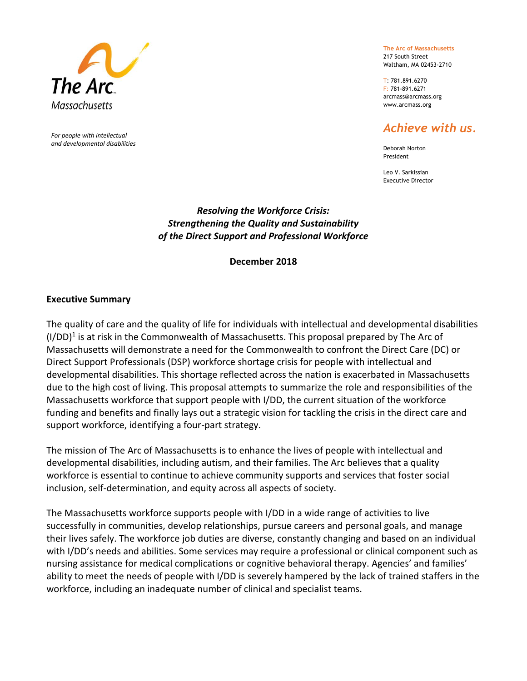

*For people with intellectual and developmental disabilities* **The Arc of Massachusetts** 217 South Street

Waltham, MA 02453-2710

T: 781.891.6270 F: 781-891.6271 [arcmass@arcmass.org](mailto:arcmass@arcmass.org) [www.arcmass.org](http://www.arcmass.org/)

# *Achieve with us.*

Deborah Norton President

Leo V. Sarkissian Executive Director

### *Resolving the Workforce Crisis: Strengthening the Quality and Sustainability of the Direct Support and Professional Workforce*

**December 2018**

### **Executive Summary**

The quality of care and the quality of life for individuals with intellectual and developmental disabilities  $(I/DD)^1$  is at risk in the Commonwealth of Massachusetts. This proposal prepared by The Arc of Massachusetts will demonstrate a need for the Commonwealth to confront the Direct Care (DC) or Direct Support Professionals (DSP) workforce shortage crisis for people with intellectual and developmental disabilities. This shortage reflected across the nation is exacerbated in Massachusetts due to the high cost of living. This proposal attempts to summarize the role and responsibilities of the Massachusetts workforce that support people with I/DD, the current situation of the workforce funding and benefits and finally lays out a strategic vision for tackling the crisis in the direct care and support workforce, identifying a four-part strategy.

The mission of The Arc of Massachusetts is to enhance the lives of people with intellectual and developmental disabilities, including autism, and their families. The Arc believes that a quality workforce is essential to continue to achieve community supports and services that foster social inclusion, self-determination, and equity across all aspects of society.

The Massachusetts workforce supports people with I/DD in a wide range of activities to live successfully in communities, develop relationships, pursue careers and personal goals, and manage their lives safely. The workforce job duties are diverse, constantly changing and based on an individual with I/DD's needs and abilities. Some services may require a professional or clinical component such as nursing assistance for medical complications or cognitive behavioral therapy. Agencies' and families' ability to meet the needs of people with I/DD is severely hampered by the lack of trained staffers in the workforce, including an inadequate number of clinical and specialist teams.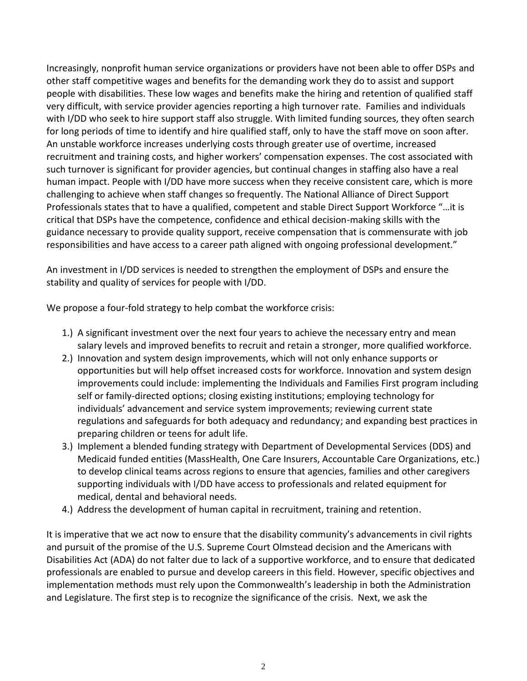Increasingly, nonprofit human service organizations or providers have not been able to offer DSPs and other staff competitive wages and benefits for the demanding work they do to assist and support people with disabilities. These low wages and benefits make the hiring and retention of qualified staff very difficult, with service provider agencies reporting a high turnover rate. Families and individuals with I/DD who seek to hire support staff also struggle. With limited funding sources, they often search for long periods of time to identify and hire qualified staff, only to have the staff move on soon after. An unstable workforce increases underlying costs through greater use of overtime, increased recruitment and training costs, and higher workers' compensation expenses. The cost associated with such turnover is significant for provider agencies, but continual changes in staffing also have a real human impact. People with I/DD have more success when they receive consistent care, which is more challenging to achieve when staff changes so frequently. The National Alliance of Direct Support Professionals states that to have a qualified, competent and stable Direct Support Workforce "…it is critical that DSPs have the competence, confidence and ethical decision-making skills with the guidance necessary to provide quality support, receive compensation that is commensurate with job responsibilities and have access to a career path aligned with ongoing professional development."

An investment in I/DD services is needed to strengthen the employment of DSPs and ensure the stability and quality of services for people with I/DD.

We propose a four-fold strategy to help combat the workforce crisis:

- 1.) A significant investment over the next four years to achieve the necessary entry and mean salary levels and improved benefits to recruit and retain a stronger, more qualified workforce.
- 2.) Innovation and system design improvements, which will not only enhance supports or opportunities but will help offset increased costs for workforce. Innovation and system design improvements could include: implementing the Individuals and Families First program including self or family-directed options; closing existing institutions; employing technology for individuals' advancement and service system improvements; reviewing current state regulations and safeguards for both adequacy and redundancy; and expanding best practices in preparing children or teens for adult life.
- 3.) Implement a blended funding strategy with Department of Developmental Services (DDS) and Medicaid funded entities (MassHealth, One Care Insurers, Accountable Care Organizations, etc.) to develop clinical teams across regions to ensure that agencies, families and other caregivers supporting individuals with I/DD have access to professionals and related equipment for medical, dental and behavioral needs.
- 4.) Address the development of human capital in recruitment, training and retention.

It is imperative that we act now to ensure that the disability community's advancements in civil rights and pursuit of the promise of the U.S. Supreme Court Olmstead decision and the Americans with Disabilities Act (ADA) do not falter due to lack of a supportive workforce, and to ensure that dedicated professionals are enabled to pursue and develop careers in this field. However, specific objectives and implementation methods must rely upon the Commonwealth's leadership in both the Administration and Legislature. The first step is to recognize the significance of the crisis. Next, we ask the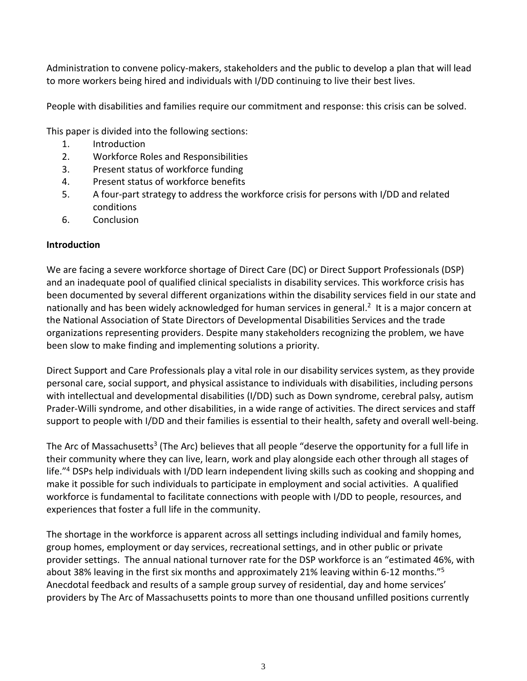Administration to convene policy-makers, stakeholders and the public to develop a plan that will lead to more workers being hired and individuals with I/DD continuing to live their best lives.

People with disabilities and families require our commitment and response: this crisis can be solved.

This paper is divided into the following sections:

- 1. Introduction
- 2. Workforce Roles and Responsibilities
- 3. Present status of workforce funding
- 4. Present status of workforce benefits
- 5. A four-part strategy to address the workforce crisis for persons with I/DD and related conditions
- 6. Conclusion

### **Introduction**

We are facing a severe workforce shortage of Direct Care (DC) or Direct Support Professionals (DSP) and an inadequate pool of qualified clinical specialists in disability services. This workforce crisis has been documented by several different organizations within the disability services field in our state and nationally and has been widely acknowledged for human services in general.<sup>2</sup> It is a major concern at the National Association of State Directors of Developmental Disabilities Services and the trade organizations representing providers. Despite many stakeholders recognizing the problem, we have been slow to make finding and implementing solutions a priority.

Direct Support and Care Professionals play a vital role in our disability services system, as they provide personal care, social support, and physical assistance to individuals with disabilities, including persons with intellectual and developmental disabilities (I/DD) such as Down syndrome, cerebral palsy, autism Prader-Willi syndrome, and other disabilities, in a wide range of activities. The direct services and staff support to people with I/DD and their families is essential to their health, safety and overall well-being.

The Arc of Massachusetts<sup>3</sup> (The Arc) believes that all people "deserve the opportunity for a full life in their community where they can live, learn, work and play alongside each other through all stages of life."<sup>4</sup> DSPs help individuals with I/DD learn independent living skills such as cooking and shopping and make it possible for such individuals to participate in employment and social activities. A qualified workforce is fundamental to facilitate connections with people with I/DD to people, resources, and experiences that foster a full life in the community.

The shortage in the workforce is apparent across all settings including individual and family homes, group homes, employment or day services, recreational settings, and in other public or private provider settings. The annual national turnover rate for the DSP workforce is an "estimated 46%, with about 38% leaving in the first six months and approximately 21% leaving within 6-12 months."<sup>5</sup> Anecdotal feedback and results of a sample group survey of residential, day and home services' providers by The Arc of Massachusetts points to more than one thousand unfilled positions currently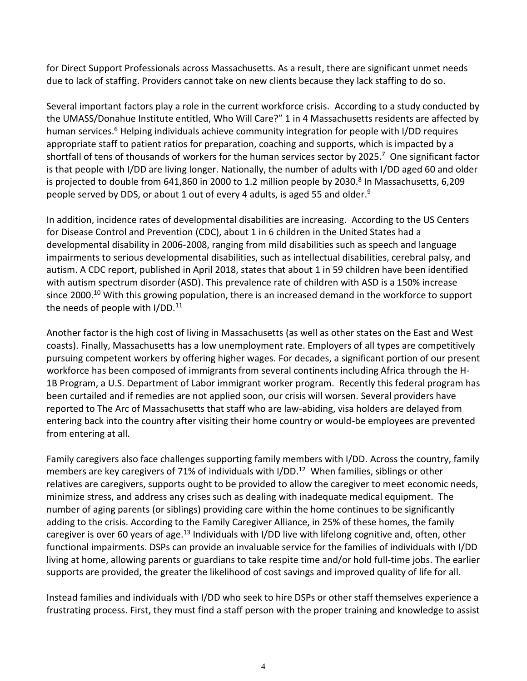for Direct Support Professionals across Massachusetts. As a result, there are significant unmet needs due to lack of staffing. Providers cannot take on new clients because they lack staffing to do so.

Several important factors play a role in the current workforce crisis. According to a study conducted by the UMASS/Donahue Institute entitled, Who Will Care?" 1 in 4 Massachusetts residents are affected by human services.<sup>6</sup> Helping individuals achieve community integration for people with I/DD requires appropriate staff to patient ratios for preparation, coaching and supports, which is impacted by a shortfall of tens of thousands of workers for the human services sector by 2025. 7 One significant factor is that people with I/DD are living longer. Nationally, the number of adults with I/DD aged 60 and older is projected to double from 641,860 in 2000 to 1.2 million people by 2030. 8 In Massachusetts, 6,209 people served by DDS, or about 1 out of every 4 adults, is aged 55 and older.<sup>9</sup>

In addition, incidence rates of developmental disabilities are increasing. According to the US Centers for Disease Control and Prevention (CDC), about 1 in 6 children in the United States had a developmental disability in 2006-2008, ranging from mild disabilities such as speech and language impairments to serious developmental disabilities, such as intellectual disabilities, cerebral palsy, and autism. A CDC report, published in April 2018, states that about 1 in 59 children have been identified with autism spectrum disorder (ASD). This prevalence rate of children with ASD is a 150% increase since 2000.<sup>10</sup> With this growing population, there is an increased demand in the workforce to support the needs of people with  $I/DD$ .<sup>11</sup>

Another factor is the high cost of living in Massachusetts (as well as other states on the East and West coasts). Finally, Massachusetts has a low unemployment rate. Employers of all types are competitively pursuing competent workers by offering higher wages. For decades, a significant portion of our present workforce has been composed of immigrants from several continents including Africa through the H-1B Program, a U.S. Department of Labor immigrant worker program. Recently this federal program has been curtailed and if remedies are not applied soon, our crisis will worsen. Several providers have reported to The Arc of Massachusetts that staff who are law-abiding, visa holders are delayed from entering back into the country after visiting their home country or would-be employees are prevented from entering at all.

Family caregivers also face challenges supporting family members with I/DD. Across the country, family members are key caregivers of 71% of individuals with I/DD.<sup>12</sup> When families, siblings or other relatives are caregivers, supports ought to be provided to allow the caregiver to meet economic needs, minimize stress, and address any crises such as dealing with inadequate medical equipment. The number of aging parents (or siblings) providing care within the home continues to be significantly adding to the crisis. According to the Family Caregiver Alliance, in 25% of these homes, the family caregiver is over 60 years of age.<sup>13</sup> Individuals with I/DD live with lifelong cognitive and, often, other functional impairments. DSPs can provide an invaluable service for the families of individuals with I/DD living at home, allowing parents or guardians to take respite time and/or hold full-time jobs. The earlier supports are provided, the greater the likelihood of cost savings and improved quality of life for all.

Instead families and individuals with I/DD who seek to hire DSPs or other staff themselves experience a frustrating process. First, they must find a staff person with the proper training and knowledge to assist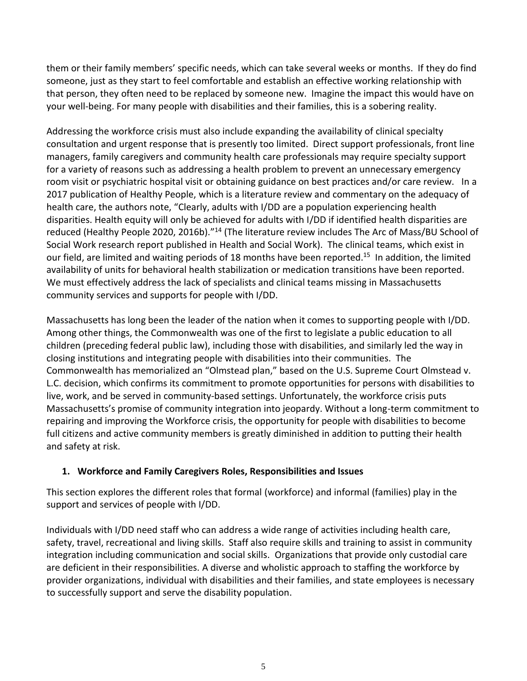them or their family members' specific needs, which can take several weeks or months. If they do find someone, just as they start to feel comfortable and establish an effective working relationship with that person, they often need to be replaced by someone new. Imagine the impact this would have on your well-being. For many people with disabilities and their families, this is a sobering reality.

Addressing the workforce crisis must also include expanding the availability of clinical specialty consultation and urgent response that is presently too limited. Direct support professionals, front line managers, family caregivers and community health care professionals may require specialty support for a variety of reasons such as addressing a health problem to prevent an unnecessary emergency room visit or psychiatric hospital visit or obtaining guidance on best practices and/or care review. In a 2017 publication of Healthy People, which is a literature review and commentary on the adequacy of health care, the authors note, "Clearly, adults with I/DD are a population experiencing health disparities. Health equity will only be achieved for adults with I/DD if identified health disparities are reduced (Healthy People 2020, 2016b)."<sup>14</sup> (The literature review includes The Arc of Mass/BU School of Social Work research report published in Health and Social Work). The clinical teams, which exist in our field, are limited and waiting periods of 18 months have been reported.<sup>15</sup> In addition, the limited availability of units for behavioral health stabilization or medication transitions have been reported. We must effectively address the lack of specialists and clinical teams missing in Massachusetts community services and supports for people with I/DD.

Massachusetts has long been the leader of the nation when it comes to supporting people with I/DD. Among other things, the Commonwealth was one of the first to legislate a public education to all children (preceding federal public law), including those with disabilities, and similarly led the way in closing institutions and integrating people with disabilities into their communities. The Commonwealth has memorialized an "Olmstead plan," based on the U.S. Supreme Court Olmstead v. L.C. decision, which confirms its commitment to promote opportunities for persons with disabilities to live, work, and be served in community-based settings. Unfortunately, the workforce crisis puts Massachusetts's promise of community integration into jeopardy. Without a long-term commitment to repairing and improving the Workforce crisis, the opportunity for people with disabilities to become full citizens and active community members is greatly diminished in addition to putting their health and safety at risk.

## **1. Workforce and Family Caregivers Roles, Responsibilities and Issues**

This section explores the different roles that formal (workforce) and informal (families) play in the support and services of people with I/DD.

Individuals with I/DD need staff who can address a wide range of activities including health care, safety, travel, recreational and living skills. Staff also require skills and training to assist in community integration including communication and social skills. Organizations that provide only custodial care are deficient in their responsibilities. A diverse and wholistic approach to staffing the workforce by provider organizations, individual with disabilities and their families, and state employees is necessary to successfully support and serve the disability population.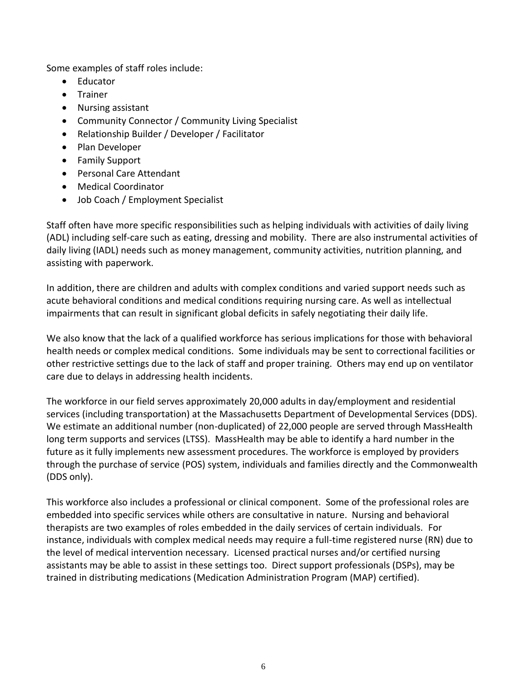Some examples of staff roles include:

- Educator
- Trainer
- Nursing assistant
- Community Connector / Community Living Specialist
- Relationship Builder / Developer / Facilitator
- Plan Developer
- Family Support
- Personal Care Attendant
- Medical Coordinator
- Job Coach / Employment Specialist

Staff often have more specific responsibilities such as helping individuals with activities of daily living (ADL) including self-care such as eating, dressing and mobility. There are also instrumental activities of daily living (IADL) needs such as money management, community activities, nutrition planning, and assisting with paperwork.

In addition, there are children and adults with complex conditions and varied support needs such as acute behavioral conditions and medical conditions requiring nursing care. As well as intellectual impairments that can result in significant global deficits in safely negotiating their daily life.

We also know that the lack of a qualified workforce has serious implications for those with behavioral health needs or complex medical conditions. Some individuals may be sent to correctional facilities or other restrictive settings due to the lack of staff and proper training. Others may end up on ventilator care due to delays in addressing health incidents.

The workforce in our field serves approximately 20,000 adults in day/employment and residential services (including transportation) at the Massachusetts Department of Developmental Services (DDS). We estimate an additional number (non-duplicated) of 22,000 people are served through MassHealth long term supports and services (LTSS). MassHealth may be able to identify a hard number in the future as it fully implements new assessment procedures. The workforce is employed by providers through the purchase of service (POS) system, individuals and families directly and the Commonwealth (DDS only).

This workforce also includes a professional or clinical component. Some of the professional roles are embedded into specific services while others are consultative in nature. Nursing and behavioral therapists are two examples of roles embedded in the daily services of certain individuals. For instance, individuals with complex medical needs may require a full-time registered nurse (RN) due to the level of medical intervention necessary. Licensed practical nurses and/or certified nursing assistants may be able to assist in these settings too. Direct support professionals (DSPs), may be trained in distributing medications (Medication Administration Program (MAP) certified).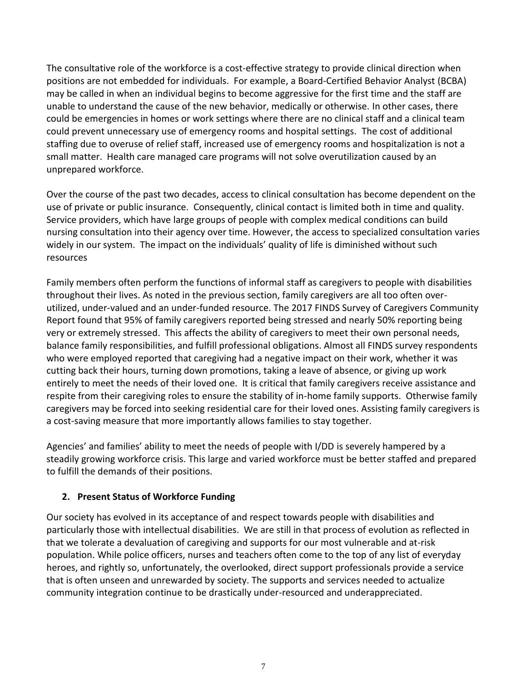The consultative role of the workforce is a cost-effective strategy to provide clinical direction when positions are not embedded for individuals. For example, a Board-Certified Behavior Analyst (BCBA) may be called in when an individual begins to become aggressive for the first time and the staff are unable to understand the cause of the new behavior, medically or otherwise. In other cases, there could be emergencies in homes or work settings where there are no clinical staff and a clinical team could prevent unnecessary use of emergency rooms and hospital settings. The cost of additional staffing due to overuse of relief staff, increased use of emergency rooms and hospitalization is not a small matter. Health care managed care programs will not solve overutilization caused by an unprepared workforce.

Over the course of the past two decades, access to clinical consultation has become dependent on the use of private or public insurance. Consequently, clinical contact is limited both in time and quality. Service providers, which have large groups of people with complex medical conditions can build nursing consultation into their agency over time. However, the access to specialized consultation varies widely in our system. The impact on the individuals' quality of life is diminished without such resources

Family members often perform the functions of informal staff as caregivers to people with disabilities throughout their lives. As noted in the previous section, family caregivers are all too often overutilized, under-valued and an under-funded resource. The 2017 FINDS Survey of Caregivers Community Report found that 95% of family caregivers reported being stressed and nearly 50% reporting being very or extremely stressed. This affects the ability of caregivers to meet their own personal needs, balance family responsibilities, and fulfill professional obligations. Almost all FINDS survey respondents who were employed reported that caregiving had a negative impact on their work, whether it was cutting back their hours, turning down promotions, taking a leave of absence, or giving up work entirely to meet the needs of their loved one. It is critical that family caregivers receive assistance and respite from their caregiving roles to ensure the stability of in-home family supports. Otherwise family caregivers may be forced into seeking residential care for their loved ones. Assisting family caregivers is a cost-saving measure that more importantly allows families to stay together.

Agencies' and families' ability to meet the needs of people with I/DD is severely hampered by a steadily growing workforce crisis. This large and varied workforce must be better staffed and prepared to fulfill the demands of their positions.

### **2. Present Status of Workforce Funding**

Our society has evolved in its acceptance of and respect towards people with disabilities and particularly those with intellectual disabilities. We are still in that process of evolution as reflected in that we tolerate a devaluation of caregiving and supports for our most vulnerable and at-risk population. While police officers, nurses and teachers often come to the top of any list of everyday heroes, and rightly so, unfortunately, the overlooked, direct support professionals provide a service that is often unseen and unrewarded by society. The supports and services needed to actualize community integration continue to be drastically under-resourced and underappreciated.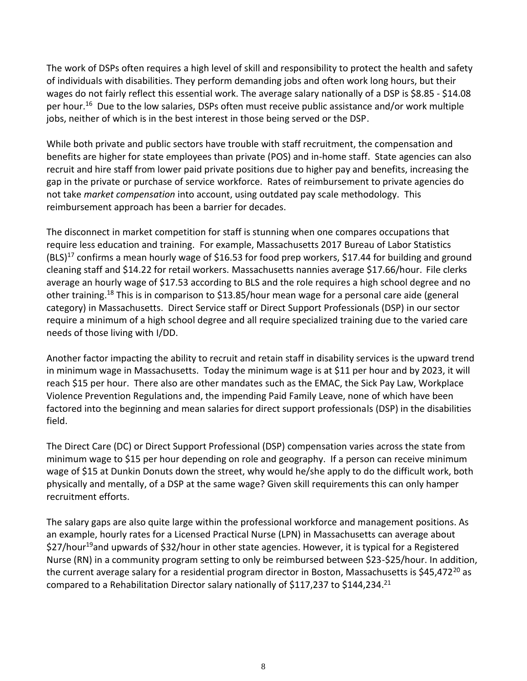The work of DSPs often requires a high level of skill and responsibility to protect the health and safety of individuals with disabilities. They perform demanding jobs and often work long hours, but their wages do not fairly reflect this essential work. The average salary nationally of a DSP is \$8.85 - \$14.08 per hour.<sup>16</sup> Due to the low salaries, DSPs often must receive public assistance and/or work multiple jobs, neither of which is in the best interest in those being served or the DSP.

While both private and public sectors have trouble with staff recruitment, the compensation and benefits are higher for state employees than private (POS) and in-home staff. State agencies can also recruit and hire staff from lower paid private positions due to higher pay and benefits, increasing the gap in the private or purchase of service workforce. Rates of reimbursement to private agencies do not take *market compensation* into account, using outdated pay scale methodology. This reimbursement approach has been a barrier for decades.

The disconnect in market competition for staff is stunning when one compares occupations that require less education and training. For example, Massachusetts 2017 Bureau of Labor Statistics  $(BLS)^{17}$  confirms a mean hourly wage of \$16.53 for food prep workers, \$17.44 for building and ground cleaning staff and \$14.22 for retail workers. Massachusetts nannies average \$17.66/hour. File clerks average an hourly wage of \$17.53 according to BLS and the role requires a high school degree and no other training.<sup>18</sup> This is in comparison to \$13.85/hour mean wage for a personal care aide (general category) in Massachusetts. Direct Service staff or Direct Support Professionals (DSP) in our sector require a minimum of a high school degree and all require specialized training due to the varied care needs of those living with I/DD.

Another factor impacting the ability to recruit and retain staff in disability services is the upward trend in minimum wage in Massachusetts. Today the minimum wage is at \$11 per hour and by 2023, it will reach \$15 per hour. There also are other mandates such as the EMAC, the Sick Pay Law, Workplace Violence Prevention Regulations and, the impending Paid Family Leave, none of which have been factored into the beginning and mean salaries for direct support professionals (DSP) in the disabilities field.

The Direct Care (DC) or Direct Support Professional (DSP) compensation varies across the state from minimum wage to \$15 per hour depending on role and geography. If a person can receive minimum wage of \$15 at Dunkin Donuts down the street, why would he/she apply to do the difficult work, both physically and mentally, of a DSP at the same wage? Given skill requirements this can only hamper recruitment efforts.

The salary gaps are also quite large within the professional workforce and management positions. As an example, hourly rates for a Licensed Practical Nurse (LPN) in Massachusetts can average about \$27/hour<sup>19</sup>and upwards of \$32/hour in other state agencies. However, it is typical for a Registered Nurse (RN) in a community program setting to only be reimbursed between \$23-\$25/hour. In addition, the current average salary for a residential program director in Boston, Massachusetts is \$45,472<sup>20</sup> as compared to a Rehabilitation Director salary nationally of \$117,237 to \$144,234.<sup>21</sup>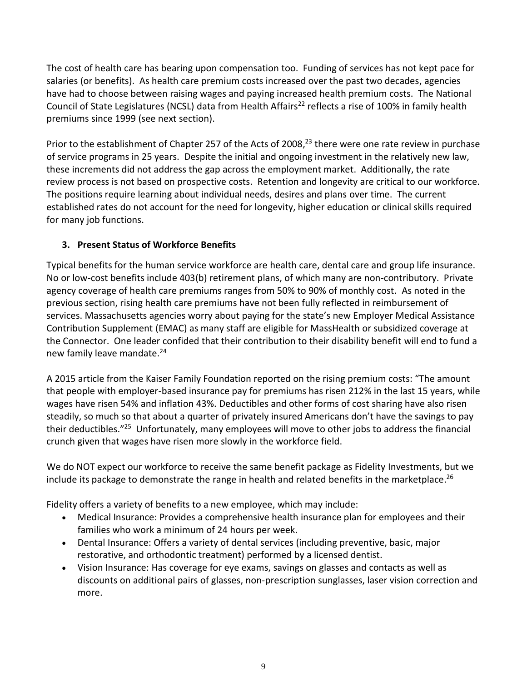The cost of health care has bearing upon compensation too. Funding of services has not kept pace for salaries (or benefits). As health care premium costs increased over the past two decades, agencies have had to choose between raising wages and paying increased health premium costs. The National Council of State Legislatures (NCSL) data from Health Affairs<sup>22</sup> reflects a rise of 100% in family health premiums since 1999 (see next section).

Prior to the establishment of Chapter 257 of the Acts of 2008,<sup>23</sup> there were one rate review in purchase of service programs in 25 years. Despite the initial and ongoing investment in the relatively new law, these increments did not address the gap across the employment market. Additionally, the rate review process is not based on prospective costs. Retention and longevity are critical to our workforce. The positions require learning about individual needs, desires and plans over time. The current established rates do not account for the need for longevity, higher education or clinical skills required for many job functions.

# **3. Present Status of Workforce Benefits**

Typical benefits for the human service workforce are health care, dental care and group life insurance. No or low-cost benefits include 403(b) retirement plans, of which many are non-contributory. Private agency coverage of health care premiums ranges from 50% to 90% of monthly cost. As noted in the previous section, rising health care premiums have not been fully reflected in reimbursement of services. Massachusetts agencies worry about paying for the state's new Employer Medical Assistance Contribution Supplement (EMAC) as many staff are eligible for MassHealth or subsidized coverage at the Connector. One leader confided that their contribution to their disability benefit will end to fund a new family leave mandate. 24

A 2015 article from the Kaiser Family Foundation reported on the rising premium costs: "The amount that people with employer-based insurance pay for premiums has [risen](http://kff.org/health-costs/report/2014-employer-health-benefits-survey/) 212% in the last 15 years, while wages have risen 54% and inflation 43%. Deductibles and other forms of cost sharing have also risen steadily, so much so that about [a quarter of privately insured Americans don't have the savings to pay](http://blogs.wsj.com/washwire/2015/03/11/health-care-deductibles-climbing-out-of-reach/)  [their deductibles.](http://blogs.wsj.com/washwire/2015/03/11/health-care-deductibles-climbing-out-of-reach/)"<sup>25</sup> Unfortunately, many employees will move to other jobs to address the financial crunch given that wages have risen more slowly in the workforce field.

We do NOT expect our workforce to receive the same benefit package as Fidelity Investments, but we include its package to demonstrate the range in health and related benefits in the marketplace. 26

Fidelity offers a variety of benefits to a new employee, which may include:

- Medical Insurance: Provides a comprehensive health insurance plan for employees and their families who work a minimum of 24 hours per week.
- Dental Insurance: Offers a variety of dental services (including preventive, basic, major restorative, and orthodontic treatment) performed by a licensed dentist.
- Vision Insurance: Has coverage for eye exams, savings on glasses and contacts as well as discounts on additional pairs of glasses, non-prescription sunglasses, laser vision correction and more.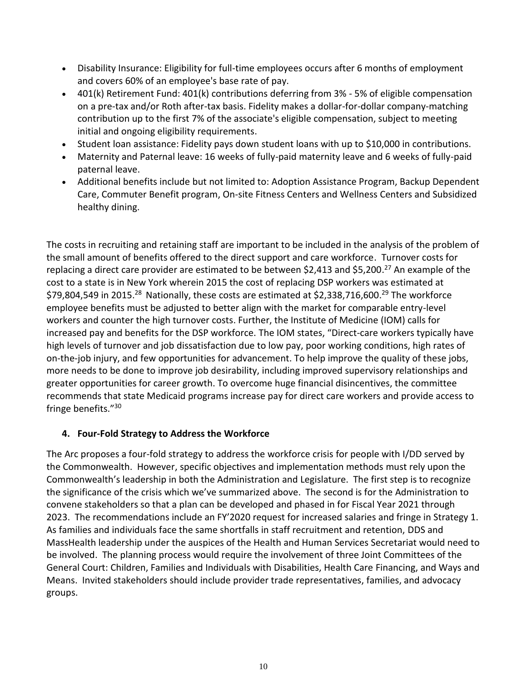- Disability Insurance: Eligibility for full-time employees occurs after 6 months of employment and covers 60% of an employee's base rate of pay.
- 401(k) Retirement Fund: 401(k) contributions deferring from 3% 5% of eligible compensation on a pre-tax and/or Roth after-tax basis. Fidelity makes a dollar-for-dollar company-matching contribution up to the first 7% of the associate's eligible compensation, subject to meeting initial and ongoing eligibility requirements.
- Student loan assistance: Fidelity pays down student loans with up to \$10,000 in contributions.
- Maternity and Paternal leave: 16 weeks of fully-paid maternity leave and 6 weeks of fully-paid paternal leave.
- Additional benefits include but not limited to: Adoption Assistance Program, Backup Dependent Care, Commuter Benefit program, On-site Fitness Centers and Wellness Centers and Subsidized healthy dining.

The costs in recruiting and retaining staff are important to be included in the analysis of the problem of the small amount of benefits offered to the direct support and care workforce. Turnover costs for replacing a direct care provider are estimated to be between \$2,413 and \$5,200.<sup>27</sup> An example of the cost to a state is in New York wherein 2015 the cost of replacing DSP workers was estimated at \$79,804,549 in 2015.<sup>28</sup> Nationally, these costs are estimated at \$2,338,716,600.<sup>29</sup> The workforce employee benefits must be adjusted to better align with the market for comparable entry-level workers and counter the high turnover costs. Further, the Institute of Medicine (IOM) calls for increased pay and benefits for the DSP workforce. The IOM states, "Direct-care workers typically have high levels of turnover and job dissatisfaction due to low pay, poor working conditions, high rates of on-the-job injury, and few opportunities for advancement. To help improve the quality of these jobs, more needs to be done to improve job desirability, including improved supervisory relationships and greater opportunities for career growth. To overcome huge financial disincentives, the committee recommends that state Medicaid programs increase pay for direct care workers and provide access to fringe benefits."<sup>30</sup>

### **4. Four-Fold Strategy to Address the Workforce**

The Arc proposes a four-fold strategy to address the workforce crisis for people with I/DD served by the Commonwealth. However, specific objectives and implementation methods must rely upon the Commonwealth's leadership in both the Administration and Legislature. The first step is to recognize the significance of the crisis which we've summarized above. The second is for the Administration to convene stakeholders so that a plan can be developed and phased in for Fiscal Year 2021 through 2023. The recommendations include an FY'2020 request for increased salaries and fringe in Strategy 1. As families and individuals face the same shortfalls in staff recruitment and retention, DDS and MassHealth leadership under the auspices of the Health and Human Services Secretariat would need to be involved. The planning process would require the involvement of three Joint Committees of the General Court: Children, Families and Individuals with Disabilities, Health Care Financing, and Ways and Means. Invited stakeholders should include provider trade representatives, families, and advocacy groups.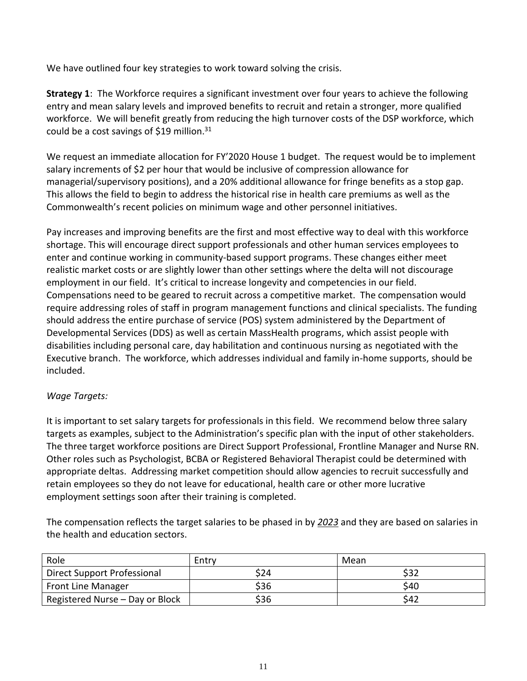We have outlined four key strategies to work toward solving the crisis.

**Strategy 1**: The Workforce requires a significant investment over four years to achieve the following entry and mean salary levels and improved benefits to recruit and retain a stronger, more qualified workforce. We will benefit greatly from reducing the high turnover costs of the DSP workforce, which could be a cost savings of \$19 million. $31$ 

We request an immediate allocation for FY'2020 House 1 budget. The request would be to implement salary increments of \$2 per hour that would be inclusive of compression allowance for managerial/supervisory positions), and a 20% additional allowance for fringe benefits as a stop gap. This allows the field to begin to address the historical rise in health care premiums as well as the Commonwealth's recent policies on minimum wage and other personnel initiatives.

Pay increases and improving benefits are the first and most effective way to deal with this workforce shortage. This will encourage direct support professionals and other human services employees to enter and continue working in community-based support programs. These changes either meet realistic market costs or are slightly lower than other settings where the delta will not discourage employment in our field. It's critical to increase longevity and competencies in our field. Compensations need to be geared to recruit across a competitive market. The compensation would require addressing roles of staff in program management functions and clinical specialists. The funding should address the entire purchase of service (POS) system administered by the Department of Developmental Services (DDS) as well as certain MassHealth programs, which assist people with disabilities including personal care, day habilitation and continuous nursing as negotiated with the Executive branch. The workforce, which addresses individual and family in-home supports, should be included.

### *Wage Targets:*

It is important to set salary targets for professionals in this field. We recommend below three salary targets as examples, subject to the Administration's specific plan with the input of other stakeholders. The three target workforce positions are Direct Support Professional, Frontline Manager and Nurse RN. Other roles such as Psychologist, BCBA or Registered Behavioral Therapist could be determined with appropriate deltas. Addressing market competition should allow agencies to recruit successfully and retain employees so they do not leave for educational, health care or other more lucrative employment settings soon after their training is completed.

The compensation reflects the target salaries to be phased in by *2023* and they are based on salaries in the health and education sectors.

| Role                            | Entry | Mean |
|---------------------------------|-------|------|
| Direct Support Professional     | \$24  | \$32 |
| Front Line Manager              | \$36  | \$40 |
| Registered Nurse - Day or Block | \$36  | \$42 |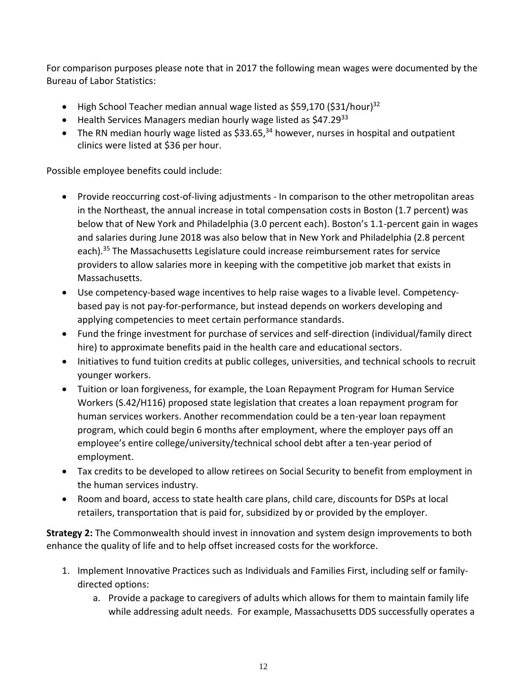For comparison purposes please note that in 2017 the following mean wages were documented by the Bureau of Labor Statistics:

- High School Teacher median annual wage listed as \$59,170 (\$31/hour)<sup>32</sup>
- Health Services Managers median hourly wage listed as \$47.2933
- The RN median hourly wage listed as \$33.65,<sup>34</sup> however, nurses in hospital and outpatient clinics were listed at \$36 per hour.

Possible employee benefits could include:

- Provide reoccurring cost-of-living adjustments In comparison to the other metropolitan areas in the Northeast, the annual increase in total compensation costs in Boston (1.7 percent) was below that of New York and Philadelphia (3.0 percent each). Boston's 1.1-percent gain in wages and salaries during June 2018 was also below that in New York and Philadelphia (2.8 percent each).<sup>35</sup> The Massachusetts Legislature could increase reimbursement rates for service providers to allow salaries more in keeping with the competitive job market that exists in Massachusetts.
- Use competency-based wage incentives to help raise wages to a livable level. Competencybased pay is not pay-for-performance, but instead depends on workers developing and applying competencies to meet certain performance standards.
- Fund the fringe investment for purchase of services and self-direction (individual/family direct hire) to approximate benefits paid in the health care and educational sectors.
- Initiatives to fund tuition credits at public colleges, universities, and technical schools to recruit younger workers.
- Tuition or loan forgiveness, for example, the Loan Repayment Program for Human Service Workers (S.42/H116) proposed state legislation that creates a loan repayment program for human services workers. Another recommendation could be a ten-year loan repayment program, which could begin 6 months after employment, where the employer pays off an employee's entire college/university/technical school debt after a ten-year period of employment.
- Tax credits to be developed to allow retirees on Social Security to benefit from employment in the human services industry.
- Room and board, access to state health care plans, child care, discounts for DSPs at local retailers, transportation that is paid for, subsidized by or provided by the employer.

**Strategy 2:** The Commonwealth should invest in innovation and system design improvements to both enhance the quality of life and to help offset increased costs for the workforce.

- 1. Implement Innovative Practices such as Individuals and Families First, including self or familydirected options:
	- a. Provide a package to caregivers of adults which allows for them to maintain family life while addressing adult needs. For example, Massachusetts DDS successfully operates a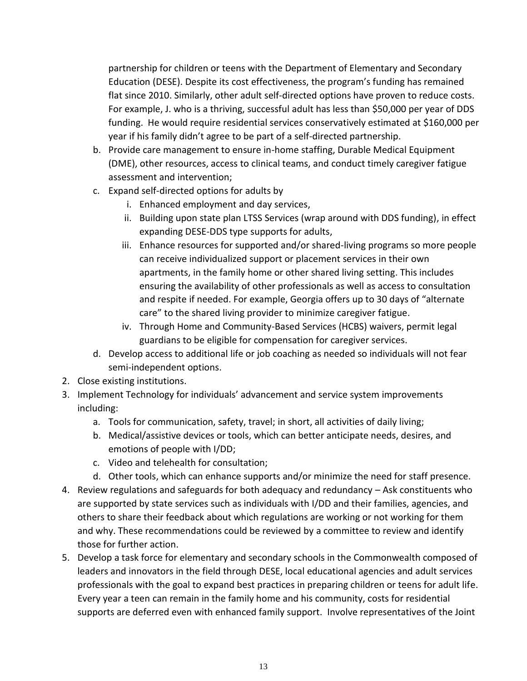partnership for children or teens with the Department of Elementary and Secondary Education (DESE). Despite its cost effectiveness, the program's funding has remained flat since 2010. Similarly, other adult self-directed options have proven to reduce costs. For example, J. who is a thriving, successful adult has less than \$50,000 per year of DDS funding. He would require residential services conservatively estimated at \$160,000 per year if his family didn't agree to be part of a self-directed partnership.

- b. Provide care management to ensure in-home staffing, Durable Medical Equipment (DME), other resources, access to clinical teams, and conduct timely caregiver fatigue assessment and intervention;
- c. Expand self-directed options for adults by
	- i. Enhanced employment and day services,
	- ii. Building upon state plan LTSS Services (wrap around with DDS funding), in effect expanding DESE-DDS type supports for adults,
	- iii. Enhance resources for supported and/or shared-living programs so more people can receive individualized support or placement services in their own apartments, in the family home or other shared living setting. This includes ensuring the availability of other professionals as well as access to consultation and respite if needed. For example, Georgia offers up to 30 days of "alternate care" to the shared living provider to minimize caregiver fatigue.
	- iv. Through Home and Community-Based Services (HCBS) waivers, permit legal guardians to be eligible for compensation for caregiver services.
- d. Develop access to additional life or job coaching as needed so individuals will not fear semi-independent options.
- 2. Close existing institutions.
- 3. Implement Technology for individuals' advancement and service system improvements including:
	- a. Tools for communication, safety, travel; in short, all activities of daily living;
	- b. Medical/assistive devices or tools, which can better anticipate needs, desires, and emotions of people with I/DD;
	- c. Video and telehealth for consultation;
	- d. Other tools, which can enhance supports and/or minimize the need for staff presence.
- 4. Review regulations and safeguards for both adequacy and redundancy Ask constituents who are supported by state services such as individuals with I/DD and their families, agencies, and others to share their feedback about which regulations are working or not working for them and why. These recommendations could be reviewed by a committee to review and identify those for further action.
- 5. Develop a task force for elementary and secondary schools in the Commonwealth composed of leaders and innovators in the field through DESE, local educational agencies and adult services professionals with the goal to expand best practices in preparing children or teens for adult life. Every year a teen can remain in the family home and his community, costs for residential supports are deferred even with enhanced family support. Involve representatives of the Joint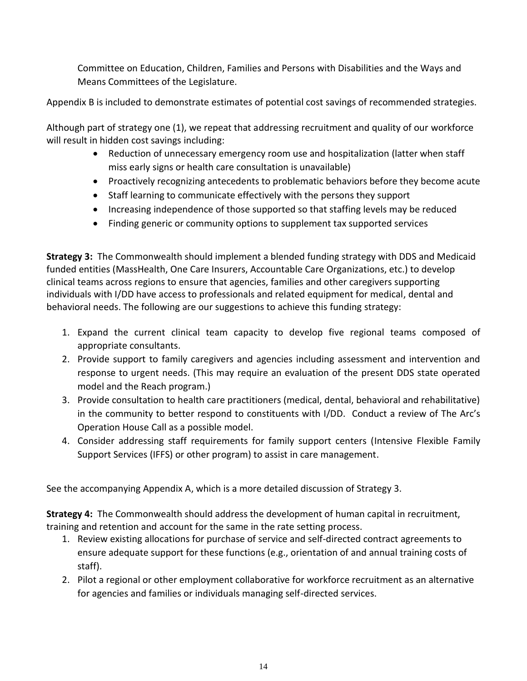Committee on Education, Children, Families and Persons with Disabilities and the Ways and Means Committees of the Legislature.

Appendix B is included to demonstrate estimates of potential cost savings of recommended strategies.

Although part of strategy one (1), we repeat that addressing recruitment and quality of our workforce will result in hidden cost savings including:

- Reduction of unnecessary emergency room use and hospitalization (latter when staff miss early signs or health care consultation is unavailable)
- Proactively recognizing antecedents to problematic behaviors before they become acute
- Staff learning to communicate effectively with the persons they support
- Increasing independence of those supported so that staffing levels may be reduced
- Finding generic or community options to supplement tax supported services

**Strategy 3:** The Commonwealth should implement a blended funding strategy with DDS and Medicaid funded entities (MassHealth, One Care Insurers, Accountable Care Organizations, etc.) to develop clinical teams across regions to ensure that agencies, families and other caregivers supporting individuals with I/DD have access to professionals and related equipment for medical, dental and behavioral needs. The following are our suggestions to achieve this funding strategy:

- 1. Expand the current clinical team capacity to develop five regional teams composed of appropriate consultants.
- 2. Provide support to family caregivers and agencies including assessment and intervention and response to urgent needs. (This may require an evaluation of the present DDS state operated model and the Reach program.)
- 3. Provide consultation to health care practitioners (medical, dental, behavioral and rehabilitative) in the community to better respond to constituents with I/DD. Conduct a review of The Arc's Operation House Call as a possible model.
- 4. Consider addressing staff requirements for family support centers (Intensive Flexible Family Support Services (IFFS) or other program) to assist in care management.

See the accompanying Appendix A, which is a more detailed discussion of Strategy 3.

**Strategy 4:** The Commonwealth should address the development of human capital in recruitment, training and retention and account for the same in the rate setting process.

- 1. Review existing allocations for purchase of service and self-directed contract agreements to ensure adequate support for these functions (e.g., orientation of and annual training costs of staff).
- 2. Pilot a regional or other employment collaborative for workforce recruitment as an alternative for agencies and families or individuals managing self-directed services.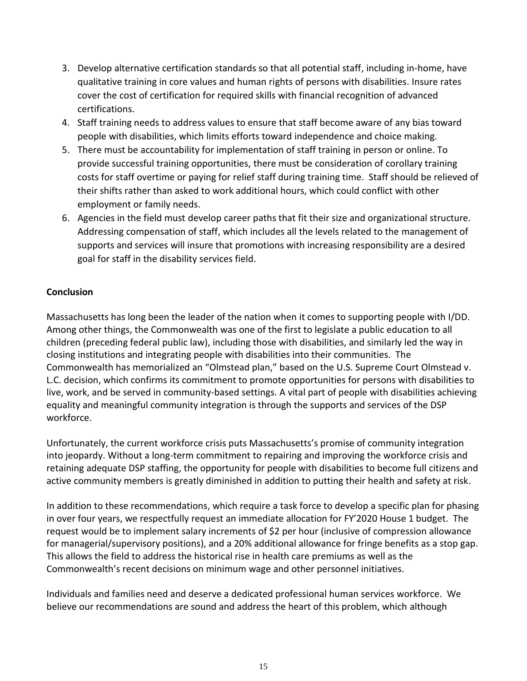- 3. Develop alternative certification standards so that all potential staff, including in-home, have qualitative training in core values and human rights of persons with disabilities. Insure rates cover the cost of certification for required skills with financial recognition of advanced certifications.
- 4. Staff training needs to address values to ensure that staff become aware of any bias toward people with disabilities, which limits efforts toward independence and choice making.
- 5. There must be accountability for implementation of staff training in person or online. To provide successful training opportunities, there must be consideration of corollary training costs for staff overtime or paying for relief staff during training time. Staff should be relieved of their shifts rather than asked to work additional hours, which could conflict with other employment or family needs.
- 6. Agencies in the field must develop career paths that fit their size and organizational structure. Addressing compensation of staff, which includes all the levels related to the management of supports and services will insure that promotions with increasing responsibility are a desired goal for staff in the disability services field.

### **Conclusion**

Massachusetts has long been the leader of the nation when it comes to supporting people with I/DD. Among other things, the Commonwealth was one of the first to legislate a public education to all children (preceding federal public law), including those with disabilities, and similarly led the way in closing institutions and integrating people with disabilities into their communities. The Commonwealth has memorialized an "Olmstead plan," based on the U.S. Supreme Court Olmstead v. L.C. decision, which confirms its commitment to promote opportunities for persons with disabilities to live, work, and be served in community-based settings. A vital part of people with disabilities achieving equality and meaningful community integration is through the supports and services of the DSP workforce.

Unfortunately, the current workforce crisis puts Massachusetts's promise of community integration into jeopardy. Without a long-term commitment to repairing and improving the workforce crisis and retaining adequate DSP staffing, the opportunity for people with disabilities to become full citizens and active community members is greatly diminished in addition to putting their health and safety at risk.

In addition to these recommendations, which require a task force to develop a specific plan for phasing in over four years, we respectfully request an immediate allocation for FY'2020 House 1 budget. The request would be to implement salary increments of \$2 per hour (inclusive of compression allowance for managerial/supervisory positions), and a 20% additional allowance for fringe benefits as a stop gap. This allows the field to address the historical rise in health care premiums as well as the Commonwealth's recent decisions on minimum wage and other personnel initiatives.

Individuals and families need and deserve a dedicated professional human services workforce. We believe our recommendations are sound and address the heart of this problem, which although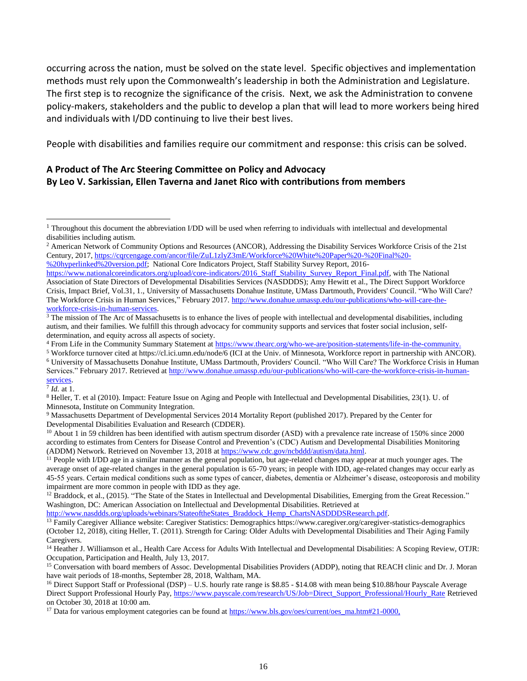occurring across the nation, must be solved on the state level. Specific objectives and implementation methods must rely upon the Commonwealth's leadership in both the Administration and Legislature. The first step is to recognize the significance of the crisis. Next, we ask the Administration to convene policy-makers, stakeholders and the public to develop a plan that will lead to more workers being hired and individuals with I/DD continuing to live their best lives.

People with disabilities and families require our commitment and response: this crisis can be solved.

### **A Product of The Arc Steering Committee on Policy and Advocacy By Leo V. Sarkissian, Ellen Taverna and Janet Rico with contributions from members**

[%20hyperlinked%20version.pdf;](https://cqrcengage.com/ancor/file/ZuL1zlyZ3mE/Workforce%20White%20Paper%20-%20Final%20-%20hyperlinked%20version.pdf) National Core Indicators Project, Staff Stability Survey Report, 2016-

7 *Id.* at 1*.*

 $\overline{\phantom{a}}$ 

[http://www.nasddds.org/uploads/webinars/StateoftheStates\\_Braddock\\_Hemp\\_ChartsNASDDDSResearch.pdf.](http://www.nasddds.org/uploads/webinars/StateoftheStates_Braddock_Hemp_ChartsNASDDDSResearch.pdf)

<sup>&</sup>lt;sup>1</sup> Throughout this document the abbreviation I/DD will be used when referring to individuals with intellectual and developmental disabilities including autism.

<sup>&</sup>lt;sup>2</sup> American Network of Community Options and Resources (ANCOR), Addressing the Disability Services Workforce Crisis of the 21st Century, 2017, [https://cqrcengage.com/ancor/file/ZuL1zlyZ3mE/Workforce%20White%20Paper%20-%20Final%20-](https://cqrcengage.com/ancor/file/ZuL1zlyZ3mE/Workforce%20White%20Paper%20-%20Final%20-%20hyperlinked%20version.pdf)

[https://www.nationalcoreindicators.org/upload/core-indicators/2016\\_Staff\\_Stability\\_Survey\\_Report\\_Final.pdf,](https://www.nationalcoreindicators.org/upload/core-indicators/2016_Staff_Stability_Survey_Report_Final.pdf) with The National Association of State Directors of Developmental Disabilities Services (NASDDDS); Amy Hewitt et al., The Direct Support Workforce Crisis, Impact Brief, Vol.31, 1., University of Massachusetts Donahue Institute, UMass Dartmouth, Providers' Council. "Who Will Care? The Workforce Crisis in Human Services," February 2017. [http://www.donahue.umassp.edu/our-publications/who-will-care-the](http://www.donahue.umassp.edu/our-publications/who-will-care-the-workforce-crisis-in-human-services)[workforce-crisis-in-human-services.](http://www.donahue.umassp.edu/our-publications/who-will-care-the-workforce-crisis-in-human-services)

 $3$  The mission of The Arc of Massachusetts is to enhance the lives of people with intellectual and developmental disabilities, including autism, and their families. We fulfill this through advocacy for community supports and services that foster social inclusion, selfdetermination, and equity across all aspects of society.

<sup>4</sup> From Life in the Community Summary Statement at [https://www.thearc.org/who-we-are/position-statements/life-in-the-community.](https://www.thearc.org/who-we-are/position-statements/life-in-the-community)

<sup>5</sup> Workforce turnover cited at https://cl.ici.umn.edu/node/6 (ICI at the Univ. of Minnesota, Workforce report in partnership with ANCOR). <sup>6</sup> University of Massachusetts Donahue Institute, UMass Dartmouth, Providers' Council. "Who Will Care? The Workforce Crisis in Human Services." February 2017. Retrieved a[t http://www.donahue.umassp.edu/our-publications/who-will-care-the-workforce-crisis-in-human](http://www.donahue.umassp.edu/our-publications/who-will-care-the-workforce-crisis-in-human-services)[services.](http://www.donahue.umassp.edu/our-publications/who-will-care-the-workforce-crisis-in-human-services)

<sup>8</sup> Heller, T. et al (2010). Impact: Feature Issue on Aging and People with Intellectual and Developmental Disabilities, 23(1). U. of Minnesota, Institute on Community Integration.

<sup>9</sup> Massachusetts Department of Developmental Services 2014 Mortality Report (published 2017). Prepared by the Center for Developmental Disabilities Evaluation and Research (CDDER).

<sup>&</sup>lt;sup>10</sup> About 1 in 59 children has been identified with autism spectrum disorder (ASD) with a prevalence rate increase of 150% since 2000 according to estimates from Centers for Disease Control and Prevention's (CDC) Autism and Developmental Disabilities Monitoring (ADDM) Network. Retrieved on November 13, 2018 at [https://www.cdc.gov/ncbddd/autism/data.html.](https://www.cdc.gov/ncbddd/autism/data.html)

 $11$  People with I/DD age in a similar manner as the general population, but age-related changes may appear at much younger ages. The average onset of age-related changes in the general population is 65-70 years; in people with IDD, age-related changes may occur early as 45-55 years. Certain medical conditions such as some types of cancer, diabetes, dementia or Alzheimer's disease, osteoporosis and mobility impairment are more common in people with IDD as they age.

<sup>&</sup>lt;sup>12</sup> Braddock, et al., (2015). "The State of the States in Intellectual and Developmental Disabilities, Emerging from the Great Recession." Washington, DC: American Association on Intellectual and Developmental Disabilities. Retrieved at

<sup>13</sup> Family Caregiver Alliance website: Caregiver Statistics: Demographics https://www.caregiver.org/caregiver-statistics-demographics (October 12, 2018), citing Heller, T. (2011). Strength for Caring: Older Adults with Developmental Disabilities and Their Aging Family Caregivers.

<sup>&</sup>lt;sup>14</sup> Heather J. Williamson et al., Health Care Access for Adults With Intellectual and Developmental Disabilities: A Scoping Review, OTJR: Occupation, Participation and Health, July 13, 2017.

<sup>&</sup>lt;sup>15</sup> Conversation with board members of Assoc. Developmental Disabilities Providers (ADDP), noting that REACH clinic and Dr. J. Moran have wait periods of 18-months, September 28, 2018, Waltham, MA.

<sup>&</sup>lt;sup>16</sup> Direct Support Staff or Professional (DSP) – U.S. hourly rate range is \$8.85 - \$14.08 with mean being \$10.88/hour Payscale Average Direct Support Professional Hourly Pay, [https://www.payscale.com/research/US/Job=Direct\\_Support\\_Professional/Hourly\\_Rate](https://www.payscale.com/research/US/Job=Direct_Support_Professional/Hourly_Rate) Retrieved on October 30, 2018 at 10:00 am.

<sup>&</sup>lt;sup>17</sup> Data for various employment categories can be found a[t https://www.bls.gov/oes/current/oes\\_ma.htm#21-0000,](https://www.bls.gov/oes/current/oes_ma.htm#21-0000)